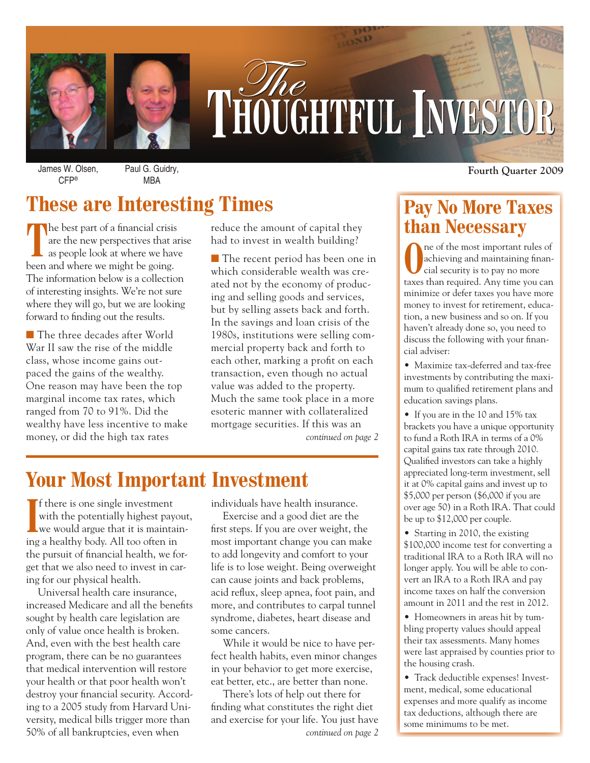

# THOUGHTFUL INVESTOR

CFP®

Paul G. Guidry, MBA

# **These are Interesting Times**

The best part of a financial crisis are the new perspectives that arise as people look at where we have been and where we might be going. The information below is a collection of interesting insights. We're not sure where they will go, but we are looking forward to finding out the results.

The three decades after World War II saw the rise of the middle class, whose income gains outpaced the gains of the wealthy. One reason may have been the top marginal income tax rates, which ranged from 70 to 91%. Did the wealthy have less incentive to make money, or did the high tax rates

reduce the amount of capital they had to invest in wealth building?

■ The recent period has been one in which considerable wealth was created not by the economy of producing and selling goods and services, but by selling assets back and forth. In the savings and loan crisis of the 1980s, institutions were selling commercial property back and forth to each other, marking a profit on each transaction, even though no actual value was added to the property. Much the same took place in a more esoteric manner with collateralized mortgage securities. If this was an *continued on page 2*

## **Your Most Important Investment**

If there is one single investment<br>with the potentially highest payc<br>we would argue that it is maintai<br>ing a healthy body. All too often in f there is one single investment with the potentially highest payout, we would argue that it is maintainthe pursuit of financial health, we forget that we also need to invest in caring for our physical health.

Universal health care insurance, increased Medicare and all the benefits sought by health care legislation are only of value once health is broken. And, even with the best health care program, there can be no guarantees that medical intervention will restore your health or that poor health won't destroy your financial security. According to a 2005 study from Harvard University, medical bills trigger more than 50% of all bankruptcies, even when *continued on page 2*

individuals have health insurance.

Exercise and a good diet are the first steps. If you are over weight, the most important change you can make to add longevity and comfort to your life is to lose weight. Being overweight can cause joints and back problems, acid reflux, sleep apnea, foot pain, and more, and contributes to carpal tunnel syndrome, diabetes, heart disease and some cancers.

While it would be nice to have perfect health habits, even minor changes in your behavior to get more exercise, eat better, etc., are better than none.

There's lots of help out there for finding what constitutes the right diet and exercise for your life. You just have

James W. Olsen, **Fourth Quarter 2009**

## **Pay No More Taxes than Necessary**

**O**ne of the most important rules of<br>cial security is to pay no more achieving and maintaining financial security is to pay no more taxes than required. Any time you can minimize or defer taxes you have more money to invest for retirement, education, a new business and so on. If you haven't already done so, you need to discuss the following with your financial adviser:

• Maximize tax-deferred and tax-free investments by contributing the maximum to qualified retirement plans and education savings plans.

• If you are in the 10 and 15% tax brackets you have a unique opportunity to fund a Roth IRA in terms of a 0% capital gains tax rate through 2010. Qualified investors can take a highly appreciated long-term investment, sell it at 0% capital gains and invest up to \$5,000 per person (\$6,000 if you are over age 50) in a Roth IRA. That could be up to \$12,000 per couple.

• Starting in 2010, the existing \$100,000 income test for converting a traditional IRA to a Roth IRA will no longer apply. You will be able to convert an IRA to a Roth IRA and pay income taxes on half the conversion amount in 2011 and the rest in 2012.

• Homeowners in areas hit by tumbling property values should appeal their tax assessments. Many homes were last appraised by counties prior to the housing crash.

• Track deductible expenses! Investment, medical, some educational expenses and more qualify as income tax deductions, although there are some minimums to be met.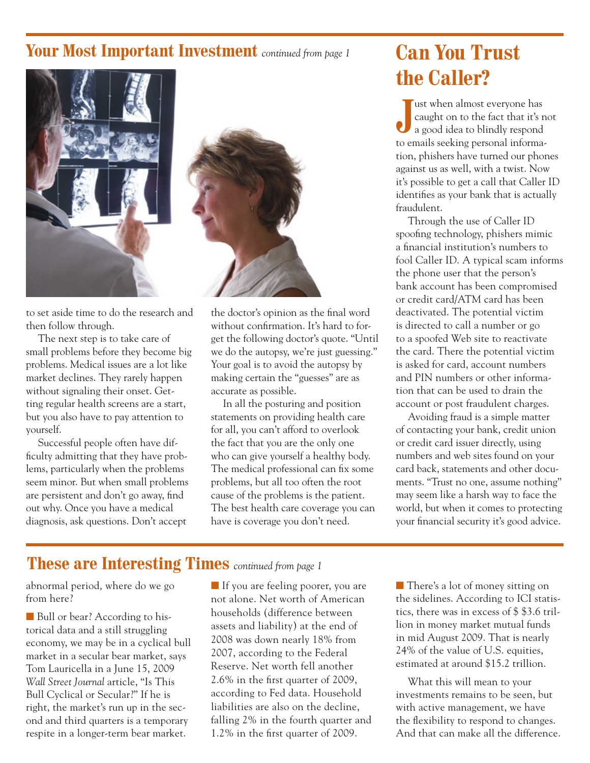## **Your Most Important Investment** *continued from page 1*



to set aside time to do the research and then follow through.

The next step is to take care of small problems before they become big problems. Medical issues are a lot like market declines. They rarely happen without signaling their onset. Getting regular health screens are a start, but you also have to pay attention to yourself.

Successful people often have difficulty admitting that they have problems, particularly when the problems seem minor. But when small problems are persistent and don't go away, find out why. Once you have a medical diagnosis, ask questions. Don't accept



the doctor's opinion as the final word without confirmation. It's hard to forget the following doctor's quote. "Until we do the autopsy, we're just guessing." Your goal is to avoid the autopsy by making certain the "guesses" are as accurate as possible.

In all the posturing and position statements on providing health care for all, you can't afford to overlook the fact that you are the only one who can give yourself a healthy body. The medical professional can fix some problems, but all too often the root cause of the problems is the patient. The best health care coverage you can have is coverage you don't need.

# **Can You Trust the Caller?**

**J** ust when almost everyone has caught on to the fact that it's not a good idea to blindly respond to emails seeking personal information, phishers have turned our phones against us as well, with a twist. Now it's possible to get a call that Caller ID identifies as your bank that is actually fraudulent.

Through the use of Caller ID spoofing technology, phishers mimic a financial institution's numbers to fool Caller ID. A typical scam informs the phone user that the person's bank account has been compromised or credit card/ATM card has been deactivated. The potential victim is directed to call a number or go to a spoofed Web site to reactivate the card. There the potential victim is asked for card, account numbers and PIN numbers or other information that can be used to drain the account or post fraudulent charges.

Avoiding fraud is a simple matter of contacting your bank, credit union or credit card issuer directly, using numbers and web sites found on your card back, statements and other documents. "Trust no one, assume nothing" may seem like a harsh way to face the world, but when it comes to protecting your financial security it's good advice.

### **These are Interesting Times** *continued from page 1*

abnormal period, where do we go from here?

Bull or bear? According to historical data and a still struggling economy, we may be in a cyclical bull market in a secular bear market, says Tom Lauricella in a June 15, 2009 *Wall Street Journal* article, "Is This Bull Cyclical or Secular?" If he is right, the market's run up in the second and third quarters is a temporary respite in a longer-term bear market.

If you are feeling poorer, you are not alone. Net worth of American households (difference between assets and liability) at the end of 2008 was down nearly 18% from 2007, according to the Federal Reserve. Net worth fell another 2.6% in the first quarter of 2009, according to Fed data. Household liabilities are also on the decline, falling 2% in the fourth quarter and 1.2% in the first quarter of 2009.

■ There's a lot of money sitting on the sidelines. According to ICI statistics, there was in excess of \$ \$3.6 trillion in money market mutual funds in mid August 2009. That is nearly 24% of the value of U.S. equities, estimated at around \$15.2 trillion.

What this will mean to your investments remains to be seen, but with active management, we have the flexibility to respond to changes. And that can make all the difference.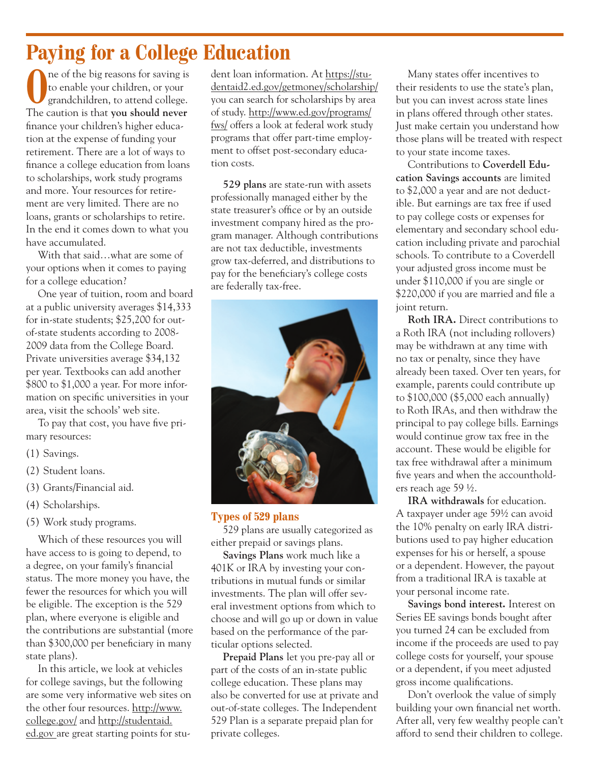# **Paying for a College Education**

ne of the big reasons for saving is to enable your children, or your grandchildren, to attend college. The caution is that **you should never** finance your children's higher education at the expense of funding your retirement. There are a lot of ways to finance a college education from loans to scholarships, work study programs and more. Your resources for retirement are very limited. There are no loans, grants or scholarships to retire. In the end it comes down to what you have accumulated.

With that said…what are some of your options when it comes to paying for a college education?

One year of tuition, room and board at a public university averages \$14,333 for in-state students; \$25,200 for outof-state students according to 2008- 2009 data from the College Board. Private universities average \$34,132 per year. Textbooks can add another \$800 to \$1,000 a year. For more information on specific universities in your area, visit the schools' web site.

To pay that cost, you have five primary resources:

- (1) Savings.
- (2) Student loans.
- (3) Grants/Financial aid.
- (4) Scholarships.
- (5) Work study programs.

Which of these resources you will have access to is going to depend, to a degree, on your family's financial status. The more money you have, the fewer the resources for which you will be eligible. The exception is the 529 plan, where everyone is eligible and the contributions are substantial (more than \$300,000 per beneficiary in many state plans).

In this article, we look at vehicles for college savings, but the following are some very informative web sites on the other four resources. http://www. college.gov/ and http://studentaid. ed.gov are great starting points for student loan information. At https://studentaid2.ed.gov/getmoney/scholarship/ you can search for scholarships by area of study. http://www.ed.gov/programs/ fws/ offers a look at federal work study programs that offer part-time employment to offset post-secondary education costs.

**529 plans** are state-run with assets professionally managed either by the state treasurer's office or by an outside investment company hired as the program manager. Although contributions are not tax deductible, investments grow tax-deferred, and distributions to pay for the beneficiary's college costs are federally tax-free.



#### **Types of 529 plans**

529 plans are usually categorized as either prepaid or savings plans.

**Savings Plans** work much like a 401K or IRA by investing your contributions in mutual funds or similar investments. The plan will offer several investment options from which to choose and will go up or down in value based on the performance of the particular options selected.

**Prepaid Plans** let you pre-pay all or part of the costs of an in-state public college education. These plans may also be converted for use at private and out-of-state colleges. The Independent 529 Plan is a separate prepaid plan for private colleges.

Many states offer incentives to their residents to use the state's plan, but you can invest across state lines in plans offered through other states. Just make certain you understand how those plans will be treated with respect to your state income taxes.

Contributions to **Coverdell Education Savings accounts** are limited to \$2,000 a year and are not deductible. But earnings are tax free if used to pay college costs or expenses for elementary and secondary school education including private and parochial schools. To contribute to a Coverdell your adjusted gross income must be under \$110,000 if you are single or \$220,000 if you are married and file a joint return.

**Roth IRA.** Direct contributions to a Roth IRA (not including rollovers) may be withdrawn at any time with no tax or penalty, since they have already been taxed. Over ten years, for example, parents could contribute up to \$100,000 (\$5,000 each annually) to Roth IRAs, and then withdraw the principal to pay college bills. Earnings would continue grow tax free in the account. These would be eligible for tax free withdrawal after a minimum five years and when the accountholders reach age 59 ½.

**IRA withdrawals** for education. A taxpayer under age 59½ can avoid the 10% penalty on early IRA distributions used to pay higher education expenses for his or herself, a spouse or a dependent. However, the payout from a traditional IRA is taxable at your personal income rate.

**Savings bond interest.** Interest on Series EE savings bonds bought after you turned 24 can be excluded from income if the proceeds are used to pay college costs for yourself, your spouse or a dependent, if you meet adjusted gross income qualifications.

Don't overlook the value of simply building your own financial net worth. After all, very few wealthy people can't afford to send their children to college.